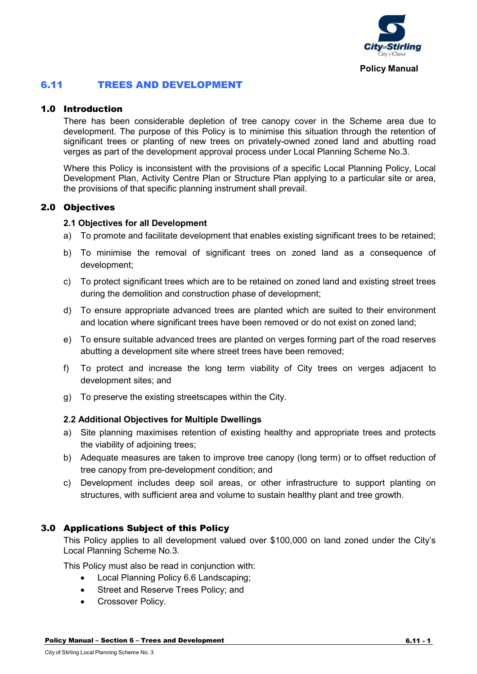

# 6.11 TREES AND DEVELOPMENT

# 1.0 Introduction

There has been considerable depletion of tree canopy cover in the Scheme area due to development. The purpose of this Policy is to minimise this situation through the retention of significant trees or planting of new trees on privately-owned zoned land and abutting road verges as part of the development approval process under Local Planning Scheme No.3.

Where this Policy is inconsistent with the provisions of a specific Local Planning Policy, Local Development Plan, Activity Centre Plan or Structure Plan applying to a particular site or area, the provisions of that specific planning instrument shall prevail.

# 2.0 Objectives

#### **2.1 Objectives for all Development**

- a) To promote and facilitate development that enables existing significant trees to be retained;
- b) To minimise the removal of significant trees on zoned land as a consequence of development;
- c) To protect significant trees which are to be retained on zoned land and existing street trees during the demolition and construction phase of development;
- d) To ensure appropriate advanced trees are planted which are suited to their environment and location where significant trees have been removed or do not exist on zoned land;
- e) To ensure suitable advanced trees are planted on verges forming part of the road reserves abutting a development site where street trees have been removed;
- f) To protect and increase the long term viability of City trees on verges adjacent to development sites; and
- g) To preserve the existing streetscapes within the City.

## **2.2 Additional Objectives for Multiple Dwellings**

- a) Site planning maximises retention of existing healthy and appropriate trees and protects the viability of adjoining trees;
- b) Adequate measures are taken to improve tree canopy (long term) or to offset reduction of tree canopy from pre-development condition; and
- c) Development includes deep soil areas, or other infrastructure to support planting on structures, with sufficient area and volume to sustain healthy plant and tree growth.

## 3.0 Applications Subject of this Policy

This Policy applies to all development valued over \$100,000 on land zoned under the City's Local Planning Scheme No.3.

This Policy must also be read in conjunction with:

- Local Planning Policy 6.6 Landscaping;
- Street and Reserve Trees Policy; and
- Crossover Policy.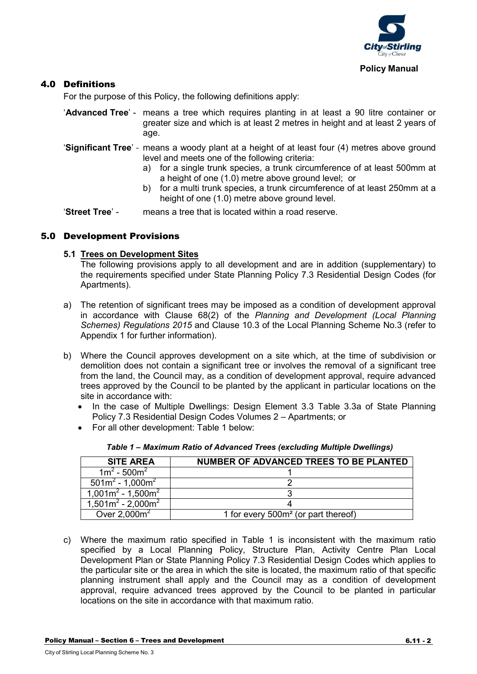

# 4.0 Definitions

For the purpose of this Policy, the following definitions apply:

- '**Advanced Tree**' means a tree which requires planting in at least a 90 litre container or greater size and which is at least 2 metres in height and at least 2 years of age.
- '**Significant Tree**' means a woody plant at a height of at least four (4) metres above ground level and meets one of the following criteria:
	- a) for a single trunk species, a trunk circumference of at least 500mm at a height of one (1.0) metre above ground level; or
	- b) for a multi trunk species, a trunk circumference of at least 250mm at a height of one (1.0) metre above ground level.

'**Street Tree**' - means a tree that is located within a road reserve.

## 5.0 Development Provisions

#### **5.1 Trees on Development Sites**

The following provisions apply to all development and are in addition (supplementary) to the requirements specified under State Planning Policy 7.3 Residential Design Codes (for Apartments).

- a) The retention of significant trees may be imposed as a condition of development approval in accordance with Clause 68(2) of the *Planning and Development (Local Planning Schemes) Regulations 2015* and Clause 10.3 of the Local Planning Scheme No.3 (refer to Appendix 1 for further information).
- b) Where the Council approves development on a site which, at the time of subdivision or demolition does not contain a significant tree or involves the removal of a significant tree from the land, the Council may, as a condition of development approval, require advanced trees approved by the Council to be planted by the applicant in particular locations on the site in accordance with:
	- In the case of Multiple Dwellings: Design Element 3.3 Table 3.3a of State Planning Policy 7.3 Residential Design Codes Volumes 2 – Apartments; or
	- For all other development: Table 1 below:

| <b>SITE AREA</b>      | NUMBER OF ADVANCED TREES TO BE PLANTED          |
|-----------------------|-------------------------------------------------|
| $1m^2 - 500m^2$       |                                                 |
| $501m^2 - 1,000m^2$   |                                                 |
| $1,001m^2 - 1,500m^2$ |                                                 |
| $1,501m^2 - 2,000m^2$ |                                                 |
| Over $2,000m^2$       | 1 for every 500m <sup>2</sup> (or part thereof) |

*Table 1 – Maximum Ratio of Advanced Trees (excluding Multiple Dwellings)*

c) Where the maximum ratio specified in Table 1 is inconsistent with the maximum ratio specified by a Local Planning Policy, Structure Plan, Activity Centre Plan Local Development Plan or State Planning Policy 7.3 Residential Design Codes which applies to the particular site or the area in which the site is located, the maximum ratio of that specific planning instrument shall apply and the Council may as a condition of development approval, require advanced trees approved by the Council to be planted in particular locations on the site in accordance with that maximum ratio.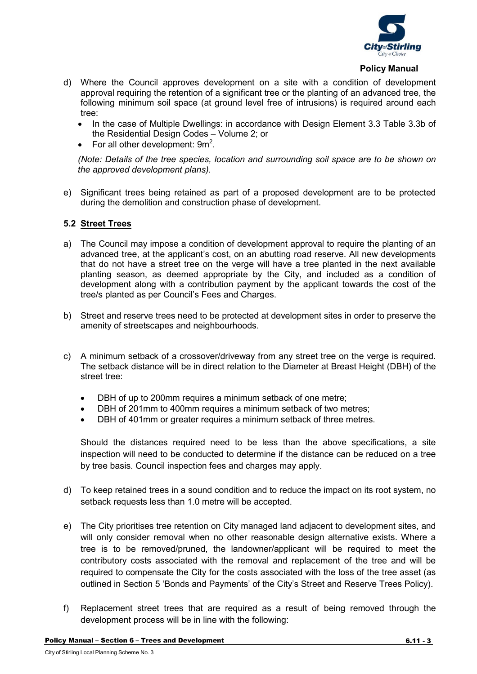

#### **Policy Manual**

- d) Where the Council approves development on a site with a condition of development approval requiring the retention of a significant tree or the planting of an advanced tree, the following minimum soil space (at ground level free of intrusions) is required around each tree:
	- In the case of Multiple Dwellings: in accordance with Design Element 3.3 Table 3.3b of the Residential Design Codes – Volume 2; or
	- For all other development:  $9m^2$ .

*(Note: Details of the tree species, location and surrounding soil space are to be shown on the approved development plans).*

e) Significant trees being retained as part of a proposed development are to be protected during the demolition and construction phase of development.

#### **5.2 Street Trees**

- a) The Council may impose a condition of development approval to require the planting of an advanced tree, at the applicant's cost, on an abutting road reserve. All new developments that do not have a street tree on the verge will have a tree planted in the next available planting season, as deemed appropriate by the City, and included as a condition of development along with a contribution payment by the applicant towards the cost of the tree/s planted as per Council's Fees and Charges.
- b) Street and reserve trees need to be protected at development sites in order to preserve the amenity of streetscapes and neighbourhoods.
- c) A minimum setback of a crossover/driveway from any street tree on the verge is required. The setback distance will be in direct relation to the Diameter at Breast Height (DBH) of the street tree:
	- DBH of up to 200mm requires a minimum setback of one metre;
	- DBH of 201mm to 400mm requires a minimum setback of two metres;
	- DBH of 401mm or greater requires a minimum setback of three metres.

Should the distances required need to be less than the above specifications, a site inspection will need to be conducted to determine if the distance can be reduced on a tree by tree basis. Council inspection fees and charges may apply.

- d) To keep retained trees in a sound condition and to reduce the impact on its root system, no setback requests less than 1.0 metre will be accepted.
- e) The City prioritises tree retention on City managed land adjacent to development sites, and will only consider removal when no other reasonable design alternative exists. Where a tree is to be removed/pruned, the landowner/applicant will be required to meet the contributory costs associated with the removal and replacement of the tree and will be required to compensate the City for the costs associated with the loss of the tree asset (as outlined in Section 5 'Bonds and Payments' of the City's Street and Reserve Trees Policy).
- f) Replacement street trees that are required as a result of being removed through the development process will be in line with the following: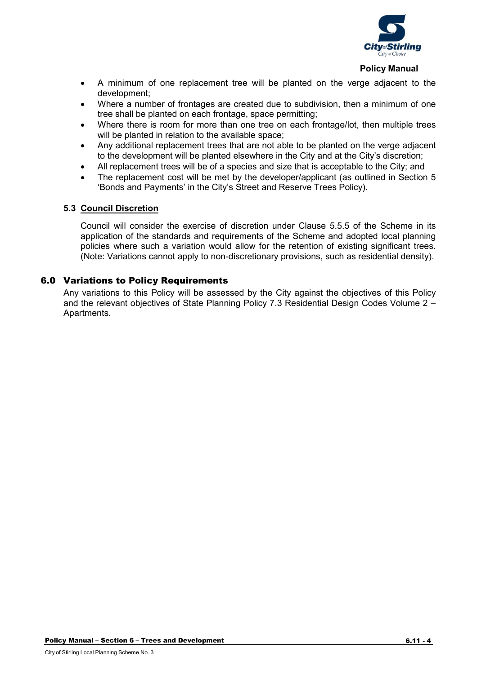

#### **Policy Manual**

- A minimum of one replacement tree will be planted on the verge adjacent to the development;
- Where a number of frontages are created due to subdivision, then a minimum of one tree shall be planted on each frontage, space permitting;
- Where there is room for more than one tree on each frontage/lot, then multiple trees will be planted in relation to the available space;
- Any additional replacement trees that are not able to be planted on the verge adjacent to the development will be planted elsewhere in the City and at the City's discretion;
- All replacement trees will be of a species and size that is acceptable to the City; and
- The replacement cost will be met by the developer/applicant (as outlined in Section 5 'Bonds and Payments' in the City's Street and Reserve Trees Policy).

#### **5.3 Council Discretion**

Council will consider the exercise of discretion under Clause 5.5.5 of the Scheme in its application of the standards and requirements of the Scheme and adopted local planning policies where such a variation would allow for the retention of existing significant trees. (Note: Variations cannot apply to non-discretionary provisions, such as residential density).

## 6.0 Variations to Policy Requirements

Any variations to this Policy will be assessed by the City against the objectives of this Policy and the relevant objectives of State Planning Policy 7.3 Residential Design Codes Volume 2 – Apartments.